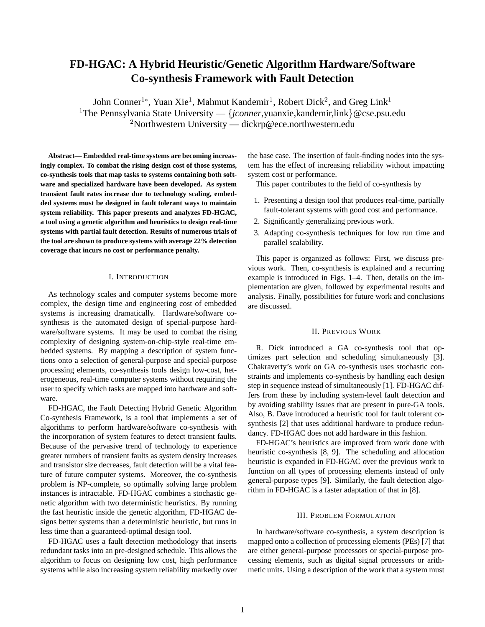# **FD-HGAC: A Hybrid Heuristic/Genetic Algorithm Hardware/Software Co-synthesis Framework with Fault Detection**

John Conner<sup>1</sup>\*, Yuan Xie<sup>1</sup>, Mahmut Kandemir<sup>1</sup>, Robert Dick<sup>2</sup>, and Greg Link<sup>1</sup> <sup>1</sup>The Pennsylvania State University —  $\{jconner, yuanxie, kandemir, link\}$  @cse.psu.edu <sup>2</sup>Northwestern University — dickrp@ece.northwestern.edu

**Abstract— Embedded real-time systems are becoming increasingly complex. To combat the rising design cost of those systems, co-synthesis tools that map tasks to systems containing both software and specialized hardware have been developed. As system transient fault rates increase due to technology scaling, embedded systems must be designed in fault tolerant ways to maintain system reliability. This paper presents and analyzes FD-HGAC, a tool using a genetic algorithm and heuristics to design real-time systems with partial fault detection. Results of numerous trials of the tool are shown to produce systems with average 22% detection coverage that incurs no cost or performance penalty.**

### I. INTRODUCTION

As technology scales and computer systems become more complex, the design time and engineering cost of embedded systems is increasing dramatically. Hardware/software cosynthesis is the automated design of special-purpose hardware/software systems. It may be used to combat the rising complexity of designing system-on-chip-style real-time embedded systems. By mapping a description of system functions onto a selection of general-purpose and special-purpose processing elements, co-synthesis tools design low-cost, heterogeneous, real-time computer systems without requiring the user to specify which tasks are mapped into hardware and software.

FD-HGAC, the Fault Detecting Hybrid Genetic Algorithm Co-synthesis Framework, is a tool that implements a set of algorithms to perform hardware/software co-synthesis with the incorporation of system features to detect transient faults. Because of the pervasive trend of technology to experience greater numbers of transient faults as system density increases and transistor size decreases, fault detection will be a vital feature of future computer systems. Moreover, the co-synthesis problem is NP-complete, so optimally solving large problem instances is intractable. FD-HGAC combines a stochastic genetic algorithm with two deterministic heuristics. By running the fast heuristic inside the genetic algorithm, FD-HGAC designs better systems than a deterministic heuristic, but runs in less time than a guaranteed-optimal design tool.

FD-HGAC uses a fault detection methodology that inserts redundant tasks into an pre-designed schedule. This allows the algorithm to focus on designing low cost, high performance systems while also increasing system reliability markedly over the base case. The insertion of fault-finding nodes into the system has the effect of increasing reliability without impacting system cost or performance.

This paper contributes to the field of co-synthesis by

- 1. Presenting a design tool that produces real-time, partially fault-tolerant systems with good cost and performance.
- 2. Significantly generalizing previous work.
- 3. Adapting co-synthesis techniques for low run time and parallel scalability.

This paper is organized as follows: First, we discuss previous work. Then, co-synthesis is explained and a recurring example is introduced in Figs. 1–4. Then, details on the implementation are given, followed by experimental results and analysis. Finally, possibilities for future work and conclusions are discussed.

# II. PREVIOUS WORK

R. Dick introduced a GA co-synthesis tool that optimizes part selection and scheduling simultaneously [3]. Chakraverty's work on GA co-synthesis uses stochastic constraints and implements co-synthesis by handling each design step in sequence instead of simultaneously [1]. FD-HGAC differs from these by including system-level fault detection and by avoiding stability issues that are present in pure-GA tools. Also, B. Dave introduced a heuristic tool for fault tolerant cosynthesis [2] that uses additional hardware to produce redundancy. FD-HGAC does not add hardware in this fashion.

FD-HGAC's heuristics are improved from work done with heuristic co-synthesis [8, 9]. The scheduling and allocation heuristic is expanded in FD-HGAC over the previous work to function on all types of processing elements instead of only general-purpose types [9]. Similarly, the fault detection algorithm in FD-HGAC is a faster adaptation of that in [8].

#### III. PROBLEM FORMULATION

In hardware/software co-synthesis, a system description is mapped onto a collection of processing elements (PEs) [7] that are either general-purpose processors or special-purpose processing elements, such as digital signal processors or arithmetic units. Using a description of the work that a system must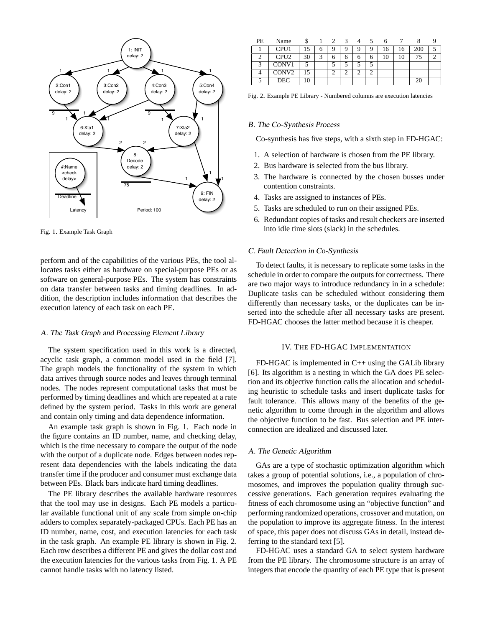

Fig. 1. Example Task Graph

perform and of the capabilities of the various PEs, the tool allocates tasks either as hardware on special-purpose PEs or as software on general-purpose PEs. The system has constraints on data transfer between tasks and timing deadlines. In addition, the description includes information that describes the execution latency of each task on each PE.

# A. The Task Graph and Processing Element Library

The system specification used in this work is a directed, acyclic task graph, a common model used in the field [7]. The graph models the functionality of the system in which data arrives through source nodes and leaves through terminal nodes. The nodes represent computational tasks that must be performed by timing deadlines and which are repeated at a rate defined by the system period. Tasks in this work are general and contain only timing and data dependence information.

An example task graph is shown in Fig. 1. Each node in the figure contains an ID number, name, and checking delay, which is the time necessary to compare the output of the node with the output of a duplicate node. Edges between nodes represent data dependencies with the labels indicating the data transfer time if the producer and consumer must exchange data between PEs. Black bars indicate hard timing deadlines.

The PE library describes the available hardware resources that the tool may use in designs. Each PE models a particular available functional unit of any scale from simple on-chip adders to complex separately-packaged CPUs. Each PE has an ID number, name, cost, and execution latencies for each task in the task graph. An example PE library is shown in Fig. 2. Each row describes a different PE and gives the dollar cost and the execution latencies for the various tasks from Fig. 1. A PE cannot handle tasks with no latency listed.

| РE | Name              |    |   |   |   |   |   |    |    |     |  |
|----|-------------------|----|---|---|---|---|---|----|----|-----|--|
|    | CPU <sub>1</sub>  | 15 | O | q | a | 9 |   | .6 | 16 | 200 |  |
|    | CPU <sub>2</sub>  | 30 | ⌒ | 6 | n | O | O | 10 |    | 75  |  |
| 2  | CONV1             |    |   |   |   |   |   |    |    |     |  |
|    | CONV <sub>2</sub> | 15 |   | ◠ |   | ⌒ |   |    |    |     |  |
|    | DEC.              |    |   |   |   |   |   |    |    | 20  |  |

Fig. 2. Example PE Library - Numbered columns are execution latencies

## B. The Co-Synthesis Process

Co-synthesis has five steps, with a sixth step in FD-HGAC:

- 1. A selection of hardware is chosen from the PE library.
- 2. Bus hardware is selected from the bus library.
- 3. The hardware is connected by the chosen busses under contention constraints.
- 4. Tasks are assigned to instances of PEs.
- 5. Tasks are scheduled to run on their assigned PEs.
- 6. Redundant copies of tasks and result checkers are inserted into idle time slots (slack) in the schedules.

## C. Fault Detection in Co-Synthesis

To detect faults, it is necessary to replicate some tasks in the schedule in order to compare the outputs for correctness. There are two major ways to introduce redundancy in in a schedule: Duplicate tasks can be scheduled without considering them differently than necessary tasks, or the duplicates can be inserted into the schedule after all necessary tasks are present. FD-HGAC chooses the latter method because it is cheaper.

## IV. THE FD-HGAC IMPLEMENTATION

FD-HGAC is implemented in C++ using the GALib library [6]. Its algorithm is a nesting in which the GA does PE selection and its objective function calls the allocation and scheduling heuristic to schedule tasks and insert duplicate tasks for fault tolerance. This allows many of the benefits of the genetic algorithm to come through in the algorithm and allows the objective function to be fast. Bus selection and PE interconnection are idealized and discussed later.

## A. The Genetic Algorithm

GAs are a type of stochastic optimization algorithm which takes a group of potential solutions, i.e., a population of chromosomes, and improves the population quality through successive generations. Each generation requires evaluating the fitness of each chromosome using an "objective function" and performing randomized operations, crossover and mutation, on the population to improve its aggregate fitness. In the interest of space, this paper does not discuss GAs in detail, instead deferring to the standard text [5].

FD-HGAC uses a standard GA to select system hardware from the PE library. The chromosome structure is an array of integers that encode the quantity of each PE type that is present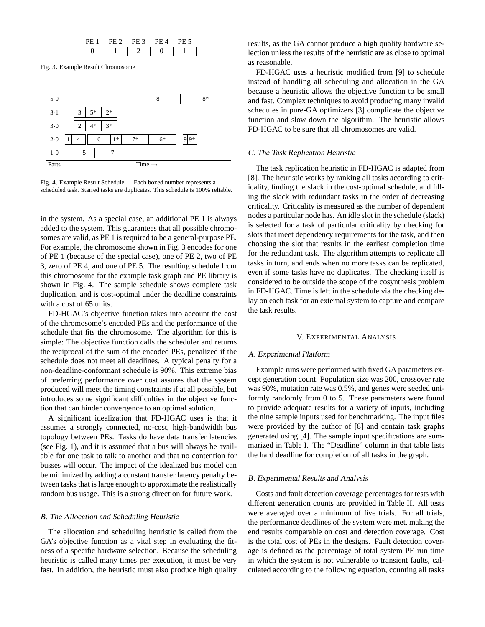| ⊣ ∵ | , н |  |
|-----|-----|--|
|     |     |  |

Fig. 3. Example Result Chromosome



Fig. 4. Example Result Schedule — Each boxed number represents a scheduled task. Starred tasks are duplicates. This schedule is 100% reliable.

in the system. As a special case, an additional PE 1 is always added to the system. This guarantees that all possible chromosomes are valid, as PE 1 is required to be a general-purpose PE. For example, the chromosome shown in Fig. 3 encodes for one of PE 1 (because of the special case), one of PE 2, two of PE 3, zero of PE 4, and one of PE 5. The resulting schedule from this chromosome for the example task graph and PE library is shown in Fig. 4. The sample schedule shows complete task duplication, and is cost-optimal under the deadline constraints with a cost of 65 units.

FD-HGAC's objective function takes into account the cost of the chromosome's encoded PEs and the performance of the schedule that fits the chromosome. The algorithm for this is simple: The objective function calls the scheduler and returns the reciprocal of the sum of the encoded PEs, penalized if the schedule does not meet all deadlines. A typical penalty for a non-deadline-conformant schedule is 90%. This extreme bias of preferring performance over cost assures that the system produced will meet the timing constraints if at all possible, but introduces some significant difficulties in the objective function that can hinder convergence to an optimal solution.

A significant idealization that FD-HGAC uses is that it assumes a strongly connected, no-cost, high-bandwidth bus topology between PEs. Tasks do have data transfer latencies (see Fig. 1), and it is assumed that a bus will always be available for one task to talk to another and that no contention for busses will occur. The impact of the idealized bus model can be minimized by adding a constant transfer latency penalty between tasks that is large enough to approximate the realistically random bus usage. This is a strong direction for future work.

# B. The Allocation and Scheduling Heuristic

The allocation and scheduling heuristic is called from the GA's objective function as a vital step in evaluating the fitness of a specific hardware selection. Because the scheduling heuristic is called many times per execution, it must be very fast. In addition, the heuristic must also produce high quality

results, as the GA cannot produce a high quality hardware selection unless the results of the heuristic are as close to optimal as reasonable.

FD-HGAC uses a heuristic modified from [9] to schedule instead of handling all scheduling and allocation in the GA because a heuristic allows the objective function to be small and fast. Complex techniques to avoid producing many invalid schedules in pure-GA optimizers [3] complicate the objective function and slow down the algorithm. The heuristic allows FD-HGAC to be sure that all chromosomes are valid.

# C. The Task Replication Heuristic

The task replication heuristic in FD-HGAC is adapted from [8]. The heuristic works by ranking all tasks according to criticality, finding the slack in the cost-optimal schedule, and filling the slack with redundant tasks in the order of decreasing criticality. Criticality is measured as the number of dependent nodes a particular node has. An idle slot in the schedule (slack) is selected for a task of particular criticality by checking for slots that meet dependency requirements for the task, and then choosing the slot that results in the earliest completion time for the redundant task. The algorithm attempts to replicate all tasks in turn, and ends when no more tasks can be replicated, even if some tasks have no duplicates. The checking itself is considered to be outside the scope of the cosynthesis problem in FD-HGAC. Time is left in the schedule via the checking delay on each task for an external system to capture and compare the task results.

## V. EXPERIMENTAL ANALYSIS

## A. Experimental Platform

Example runs were performed with fixed GA parameters except generation count. Population size was 200, crossover rate was 90%, mutation rate was 0.5%, and genes were seeded uniformly randomly from 0 to 5. These parameters were found to provide adequate results for a variety of inputs, including the nine sample inputs used for benchmarking. The input files were provided by the author of [8] and contain task graphs generated using [4]. The sample input specifications are summarized in Table I. The "Deadline" column in that table lists the hard deadline for completion of all tasks in the graph.

# B. Experimental Results and Analysis

Costs and fault detection coverage percentages for tests with different generation counts are provided in Table II. All tests were averaged over a minimum of five trials. For all trials, the performance deadlines of the system were met, making the end results comparable on cost and detection coverage. Cost is the total cost of PEs in the designs. Fault detection coverage is defined as the percentage of total system PE run time in which the system is not vulnerable to transient faults, calculated according to the following equation, counting all tasks